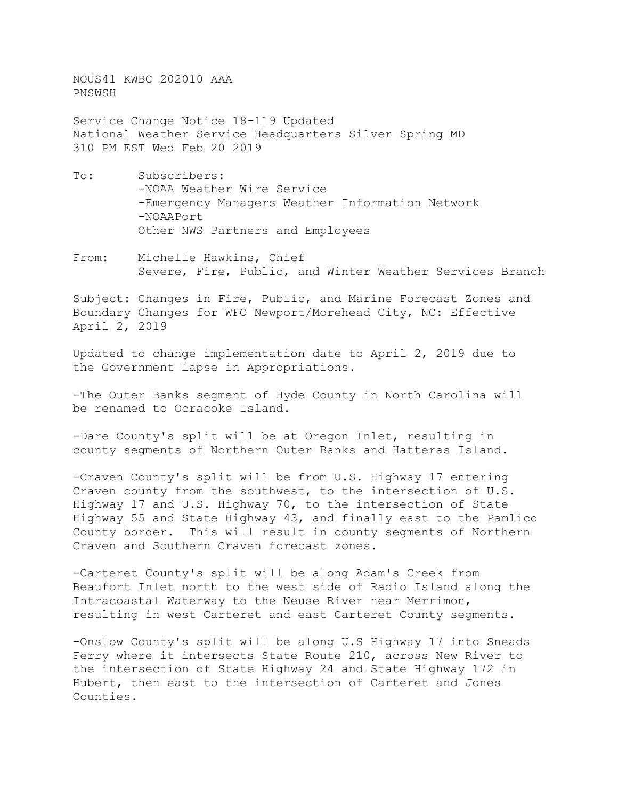NOUS41 KWBC 202010 AAA PNSWSH

Service Change Notice 18-119 Updated National Weather Service Headquarters Silver Spring MD 310 PM EST Wed Feb 20 2019

- To: Subscribers: -NOAA Weather Wire Service -Emergency Managers Weather Information Network -NOAAPort Other NWS Partners and Employees
- From: Michelle Hawkins, Chief Severe, Fire, Public, and Winter Weather Services Branch

Subject: Changes in Fire, Public, and Marine Forecast Zones and Boundary Changes for WFO Newport/Morehead City, NC: Effective April 2, 2019

Updated to change implementation date to April 2, 2019 due to the Government Lapse in Appropriations.

-The Outer Banks segment of Hyde County in North Carolina will be renamed to Ocracoke Island.

-Dare County's split will be at Oregon Inlet, resulting in county segments of Northern Outer Banks and Hatteras Island.

-Craven County's split will be from U.S. Highway 17 entering Craven county from the southwest, to the intersection of U.S. Highway 17 and U.S. Highway 70, to the intersection of State Highway 55 and State Highway 43, and finally east to the Pamlico County border. This will result in county segments of Northern Craven and Southern Craven forecast zones.

-Carteret County's split will be along Adam's Creek from Beaufort Inlet north to the west side of Radio Island along the Intracoastal Waterway to the Neuse River near Merrimon, resulting in west Carteret and east Carteret County segments.

-Onslow County's split will be along U.S Highway 17 into Sneads Ferry where it intersects State Route 210, across New River to the intersection of State Highway 24 and State Highway 172 in Hubert, then east to the intersection of Carteret and Jones Counties.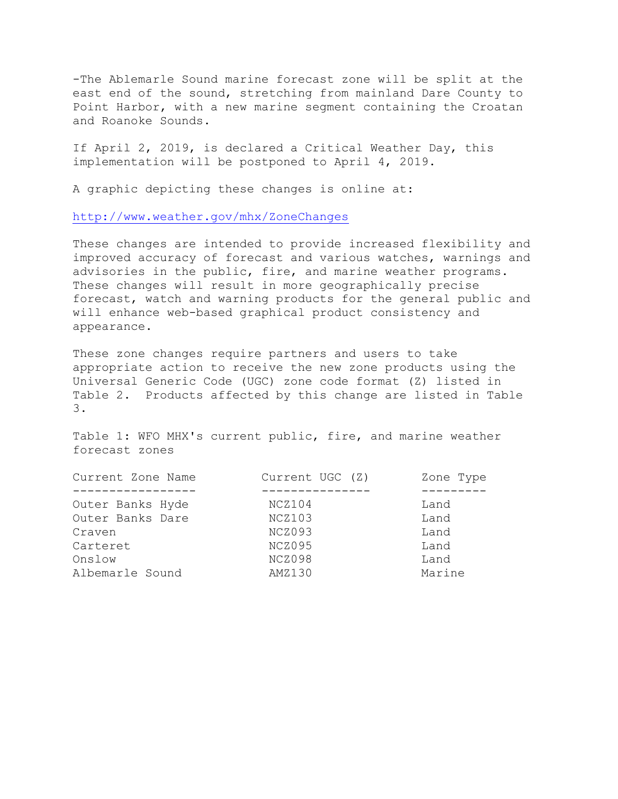-The Ablemarle Sound marine forecast zone will be split at the east end of the sound, stretching from mainland Dare County to Point Harbor, with a new marine segment containing the Croatan and Roanoke Sounds.

If April 2, 2019, is declared a Critical Weather Day, this implementation will be postponed to April 4, 2019.

A graphic depicting these changes is online at:

<http://www.weather.gov/mhx/ZoneChanges>

These changes are intended to provide increased flexibility and improved accuracy of forecast and various watches, warnings and advisories in the public, fire, and marine weather programs. These changes will result in more geographically precise forecast, watch and warning products for the general public and will enhance web-based graphical product consistency and appearance.

These zone changes require partners and users to take appropriate action to receive the new zone products using the Universal Generic Code (UGC) zone code format (Z) listed in Table 2. Products affected by this change are listed in Table 3.

Table 1: WFO MHX's current public, fire, and marine weather forecast zones

| Current Zone Name | Current UGC (Z) | Zone Type |
|-------------------|-----------------|-----------|
|                   |                 |           |
| Outer Banks Hyde  | NCZ104          | Land      |
| Outer Banks Dare  | NCZ103          | Land      |
| Craven            | NCZ093          | Land      |
| Carteret          | NCZ095          | Land      |
| Onslow            | NCZ098          | Land      |
| Albemarle Sound   | AMZ130          | Marine    |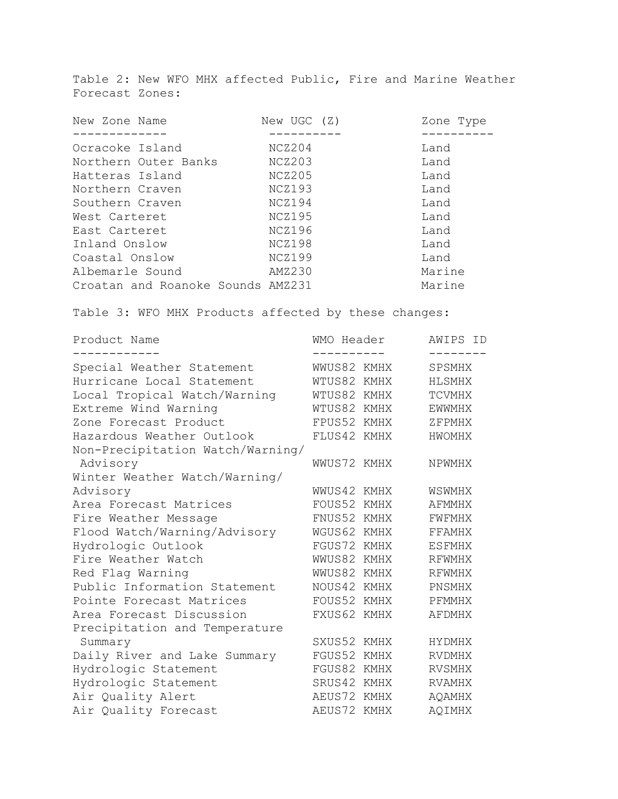Table 2: New WFO MHX affected Public, Fire and Marine Weather Forecast Zones:

| New Zone Name                     | New UGC (Z) | Zone Type |
|-----------------------------------|-------------|-----------|
|                                   |             |           |
| Ocracoke Island                   | NCZ204      | Land      |
| Northern Outer Banks              | NCZ203      | Land      |
| Hatteras Island                   | NCZ205      | Land      |
| Northern Craven                   | NCZ193      | Land      |
| Southern Craven                   | NCZ194      | Land      |
| West Carteret                     | NCZ195      | Land      |
| East Carteret                     | NCZ196      | Land      |
| Inland Onslow                     | NCZ198      | Land      |
| Coastal Onslow                    | NCZ199      | Land      |
| Albemarle Sound                   | AMZ230      | Marine    |
| Croatan and Roanoke Sounds AMZ231 |             | Marine    |

Table 3: WFO MHX Products affected by these changes:

| Product Name                     | WMO Header  |      | AWIPS ID      |
|----------------------------------|-------------|------|---------------|
| Special Weather Statement        | WWUS82 KMHX |      | SPSMHX        |
| Hurricane Local Statement        | WTUS82 KMHX |      | HLSMHX        |
| Local Tropical Watch/Warning     | WTUS82 KMHX |      | TCVMHX        |
| Extreme Wind Warning             | WTUS82 KMHX |      | <b>EWWMHX</b> |
| Zone Forecast Product            | FPUS52 KMHX |      | ZFPMHX        |
| Hazardous Weather Outlook        | FLUS42 KMHX |      | HWOMHX        |
| Non-Precipitation Watch/Warning/ |             |      |               |
| Advisory                         | WWUS72 KMHX |      | NPWMHX        |
| Winter Weather Watch/Warning/    |             |      |               |
| Advisory                         | WWUS42 KMHX |      | WSWMHX        |
| Area Forecast Matrices           | FOUS52      | KMHX | AFMMHX        |
| Fire Weather Message             | FNUS52 KMHX |      | FWFMHX        |
| Flood Watch/Warning/Advisory     | WGUS62 KMHX |      | FFAMHX        |
| Hydrologic Outlook               | FGUS72 KMHX |      | ESFMHX        |
| Fire Weather Watch               | WWUS82 KMHX |      | RFWMHX        |
| Red Flag Warning                 | WWUS82 KMHX |      | <b>RFWMHX</b> |
| Public Information Statement     | NOUS42      | KMHX | PNSMHX        |
| Pointe Forecast Matrices         | FOUS52 KMHX |      | PFMMHX        |
| Area Forecast Discussion         | FXUS62 KMHX |      | AFDMHX        |
| Precipitation and Temperature    |             |      |               |
| Summary                          | SXUS52 KMHX |      | HYDMHX        |
| Daily River and Lake Summary     | FGUS52      | KMHX | <b>RVDMHX</b> |
| Hydrologic Statement             | FGUS82      | KMHX | <b>RVSMHX</b> |
| Hydrologic Statement             | SRUS42 KMHX |      | <b>RVAMHX</b> |
| Air Quality Alert                | AEUS72 KMHX |      | AQAMHX        |
| Air Quality Forecast             | AEUS72      | KMHX | <b>AQIMHX</b> |